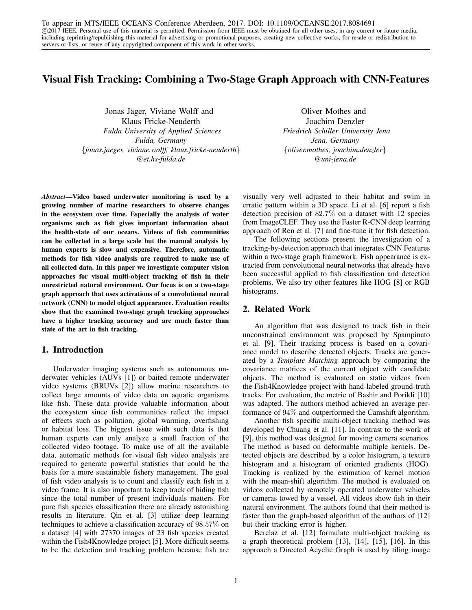To appear in MTS/IEEE OCEANS Conference Aberdeen, 2017. DOI: 10.1109/OCEANSE.2017.8084691 c 2017 IEEE. Personal use of this material is permitted. Permission from IEEE must be obtained for all other uses, in any current or future media, including reprinting/republishing this material for advertising or promotional purposes, creating new collective works, for resale or redistribution to servers or lists, or reuse of any copyrighted component of this work in other works.

# Visual Fish Tracking: Combining a Two-Stage Graph Approach with CNN-Features

Jonas Jäger, Viviane Wolff and Klaus Fricke-Neuderth *Fulda University of Applied Sciences Fulda, Germany* {*jonas.jaeger, viviane.wolff, klaus.fricke-neuderth*} *@et.hs-fulda.de*

*Abstract*—Video based underwater monitoring is used by a growing number of marine researchers to observe changes in the ecosystem over time. Especially the analysis of water organisms such as fish gives important information about the health-state of our oceans. Videos of fish communities can be collected in a large scale but the manual analysis by human experts is slow and expensive. Therefore, automatic methods for fish video analysis are required to make use of all collected data. In this paper we investigate computer vision approaches for visual multi-object tracking of fish in their unrestricted natural environment. Our focus is on a two-stage graph approach that uses activations of a convolutional neural network (CNN) to model object appearance. Evaluation results show that the examined two-stage graph tracking approaches have a higher tracking accuracy and are much faster than state of the art in fish tracking.

## 1. Introduction

Underwater imaging systems such as autonomous underwater vehicles (AUVs [1]) or baited remote underwater video systems (BRUVs [2]) allow marine researchers to collect large amounts of video data on aquatic organisms like fish. These data provide valuable information about the ecosystem since fish communities reflect the impact of effects such as pollution, global warming, overfishing or habitat loss. The biggest issue with such data is that human experts can only analyze a small fraction of the collected video footage. To make use of all the available data, automatic methods for visual fish video analysis are required to generate powerful statistics that could be the basis for a more sustainable fishery management. The goal of fish video analysis is to count and classify each fish in a video frame. It is also important to keep track of hiding fish since the total number of present individuals matters. For pure fish species classification there are already astonishing results in literature. Qin et al. [3] utilize deep learning techniques to achieve a classification accuracy of 98.57% on a dataset [4] with 27370 images of 23 fish species created within the Fish4Knowledge project [5]. More difficult seems to be the detection and tracking problem because fish are

Oliver Mothes and Joachim Denzler *Friedrich Schiller University Jena Jena, Germany* {*oliver.mothes, joachim.denzler*} *@uni-jena.de*

visually very well adjusted to their habitat and swim in erratic pattern within a 3D space. Li et al. [6] report a fish detection precision of 82.7% on a dataset with 12 species from ImageCLEF. They use the Faster R-CNN deep learning approach of Ren et al. [7] and fine-tune it for fish detection.

The following sections present the investigation of a tracking-by-detection approach that integrates CNN Features within a two-stage graph framework. Fish appearance is extracted from convolutional neural networks that already have been successful applied to fish classification and detection problems. We also try other features like HOG [8] or RGB histograms.

## 2. Related Work

An algorithm that was designed to track fish in their unconstrained environment was proposed by Spampinato et al. [9]. Their tracking process is based on a covariance model to describe detected objects. Tracks are generated by a *Template Matching* approach by comparing the covariance matrices of the current object with candidate objects. The method is evaluated on static videos from the Fish4Knowledge project with hand-labeled ground-truth tracks. For evaluation, the metric of Bashir and Porikli [10] was adapted. The authors method achieved an average performance of 94% and outperformed the Camshift algorithm.

Another fish specific multi-object tracking method was developed by Chuang et al. [11]. In contrast to the work of [9], this method was designed for moving camera scenarios. The method is based on deformable multiple kernels. Detected objects are described by a color histogram, a texture histogram and a histogram of oriented gradients (HOG). Tracking is realized by the estimation of kernel motion with the mean-shift algorithm. The method is evaluated on videos collected by remotely operated underwater vehicles or cameras towed by a vessel. All videos show fish in their natural environment. The authors found that their method is faster than the graph-based algorithm of the authors of [12] but their tracking error is higher.

Berclaz et al. [12] formulate multi-object tracking as a graph theoretical problem [13], [14], [15], [16]. In this approach a Directed Acyclic Graph is used by tiling image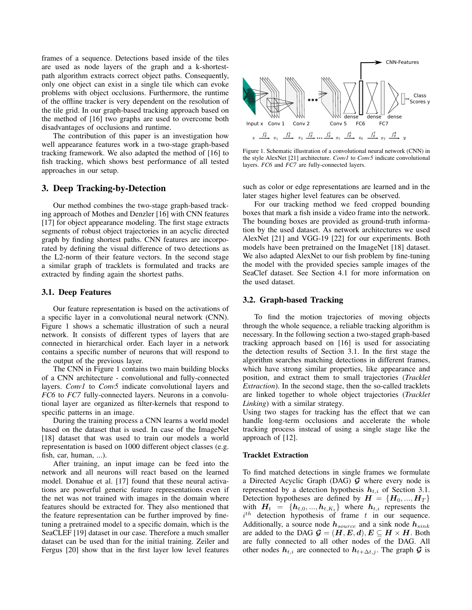frames of a sequence. Detections based inside of the tiles are used as node layers of the graph and a k-shortestpath algorithm extracts correct object paths. Consequently, only one object can exist in a single tile which can evoke problems with object occlusions. Furthermore, the runtime of the offline tracker is very dependent on the resolution of the tile grid. In our graph-based tracking approach based on the method of [16] two graphs are used to overcome both disadvantages of occlusions and runtime.

The contribution of this paper is an investigation how well appearance features work in a two-stage graph-based tracking framework. We also adapted the method of [16] to fish tracking, which shows best performance of all tested approaches in our setup.

## 3. Deep Tracking-by-Detection

Our method combines the two-stage graph-based tracking approach of Mothes and Denzler [16] with CNN features [17] for object appearance modeling. The first stage extracts segments of robust object trajectories in an acyclic directed graph by finding shortest paths. CNN features are incorporated by defining the visual difference of two detections as the L2-norm of their feature vectors. In the second stage a similar graph of tracklets is formulated and tracks are extracted by finding again the shortest paths.

### 3.1. Deep Features

Our feature representation is based on the activations of a specific layer in a convolutional neural network (CNN). Figure 1 shows a schematic illustration of such a neural network. It consists of different types of layers that are connected in hierarchical order. Each layer in a network contains a specific number of neurons that will respond to the output of the previous layer.

The CNN in Figure 1 contains two main building blocks of a CNN architecture - convolutional and fully-connected layers. *Conv1* to *Conv5* indicate convolutional layers and *FC6* to *FC7* fully-connected layers. Neurons in a convolutional layer are organized as filter-kernels that respond to specific patterns in an image.

During the training process a CNN learns a world model based on the dataset that is used. In case of the ImageNet [18] dataset that was used to train our models a world representation is based on 1000 different object classes (e.g. fish, car, human, ...).

After training, an input image can be feed into the network and all neurons will react based on the learned model. Donahue et al. [17] found that these neural activations are powerful generic feature representations even if the net was not trained with images in the domain where features should be extracted for. They also mentioned that the feature representation can be further improved by finetuning a pretrained model to a specific domain, which is the SeaCLEF [19] dataset in our case. Therefore a much smaller dataset can be used than for the initial training. Zeiler and Fergus [20] show that in the first layer low level features



Figure 1. Schematic illustration of a convolutional neural network (CNN) in the style AlexNet [21] architecture. *Conv1* to *Conv5* indicate convolutional layers. *FC6* and *FC7* are fully-connected layers.

such as color or edge representations are learned and in the later stages higher level features can be observed.

For our tracking method we feed cropped bounding boxes that mark a fish inside a video frame into the network. The bounding boxes are provided as ground-truth information by the used dataset. As network architectures we used AlexNet [21] and VGG-19 [22] for our experiments. Both models have been pretrained on the ImageNet [18] dataset. We also adapted AlexNet to our fish problem by fine-tuning the model with the provided species sample images of the SeaClef dataset. See Section 4.1 for more information on the used dataset.

### 3.2. Graph-based Tracking

To find the motion trajectories of moving objects through the whole sequence, a reliable tracking algorithm is necessary. In the following section a two-staged graph-based tracking approach based on [16] is used for associating the detection results of Section 3.1. In the first stage the algorithm searches matching detections in different frames, which have strong similar properties, like appearance and position, and extract them to small trajectories (*Tracklet Extraction*). In the second stage, then the so-called tracklets are linked together to whole object trajectories (*Tracklet Linking*) with a similar strategy.

Using two stages for tracking has the effect that we can handle long-term occlusions and accelerate the whole tracking process instead of using a single stage like the approach of [12].

#### Tracklet Extraction

To find matched detections in single frames we formulate a Directed Acyclic Graph (DAG)  $G$  where every node is represented by a detection hypothesis  $h_{t,i}$  of Section 3.1. Detection hypotheses are defined by  $H = \{H_0, ..., H_T\}$ with  $H_t = \{h_{t,0},...,h_{t,K_t}\}\$  where  $h_{t,i}$  represents the  $i^{th}$  detection hypothesis of frame t in our sequence. Additionally, a source node  $h_{source}$  and a sink node  $h_{sink}$ are added to the DAG  $\mathcal{G} = (H, E, d), E \subseteq H \times H$ . Both are fully connected to all other nodes of the DAG. All other nodes  $h_{t,i}$  are connected to  $h_{t+\Delta t,j}$ . The graph  $\mathcal G$  is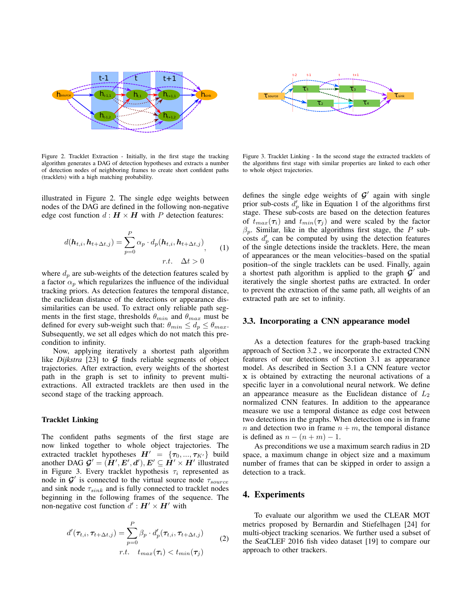



Figure 2. Tracklet Extraction - Initially, in the first stage the tracking algorithm generates a DAG of detection hypotheses and extracts a number of detection nodes of neighboring frames to create short confident paths (tracklets) with a high matching probability.

illustrated in Figure 2. The single edge weights between nodes of the DAG are defined in the following non-negative edge cost function  $d : H \times H$  with P detection features:

$$
d(\boldsymbol{h}_{t,i}, \boldsymbol{h}_{t+\Delta t,j}) = \sum_{p=0}^{P} \alpha_p \cdot d_p(\boldsymbol{h}_{t,i}, \boldsymbol{h}_{t+\Delta t,j})
$$
\n
$$
r.t. \quad \Delta t > 0
$$
\n(1)

where  $d_p$  are sub-weights of the detection features scaled by a factor  $\alpha_p$  which regularizes the influence of the individual tracking priors. As detection features the temporal distance, the euclidean distance of the detections or appearance dissimilarities can be used. To extract only reliable path segments in the first stage, thresholds  $\theta_{min}$  and  $\theta_{max}$  must be defined for every sub-weight such that:  $\theta_{min} \leq d_p \leq \theta_{max}$ . Subsequently, we set all edges which do not match this precondition to infinity.

Now, applying iteratively a shortest path algorithm like *Dijkstra* [23] to  $G$  finds reliable segments of object trajectories. After extraction, every weights of the shortest path in the graph is set to infinity to prevent multiextractions. All extracted tracklets are then used in the second stage of the tracking approach.

#### Tracklet Linking

The confident paths segments of the first stage are now linked together to whole object trajectories. The extracted tracklet hypotheses  $H' = \{\tau_0, ..., \tau_{K'}\}$  build another DAG  $\mathcal{G}' = (\mathbf{H}', \mathbf{E}', \mathbf{d}'), \mathbf{E}' \subseteq \mathbf{H}' \times \mathbf{H}'$  illustrated in Figure 3. Every tracklet hypothesis  $\tau_i$  represented as node in  $\mathcal{G}'$  is connected to the virtual source node  $\tau_{source}$ and sink node  $\tau_{sink}$  and is fully connected to tracklet nodes beginning in the following frames of the sequence. The non-negative cost function  $d' : H' \times H'$  with

$$
d'(\tau_{t,i}, \tau_{t+\Delta t,j}) = \sum_{p=0}^{P} \beta_p \cdot d'_p(\tau_{t,i}, \tau_{t+\Delta t,j})
$$
  
*r.t.*  $t_{max}(\tau_i) < t_{min}(\tau_j)$  (2)

Figure 3. Tracklet Linking - In the second stage the extracted tracklets of the algorithms first stage with similar properties are linked to each other to whole object trajectories.

defines the single edge weights of  $G'$  again with single prior sub-costs  $d'_p$  like in Equation 1 of the algorithms first stage. These sub-costs are based on the detection features of  $t_{max}(\tau_i)$  and  $t_{min}(\tau_j)$  and were scaled by the factor  $\beta_p$ . Similar, like in the algorithms first stage, the P subcosts  $d'_p$  can be computed by using the detection features of the single detections inside the tracklets. Here, the mean of appearances or the mean velocities–based on the spatial position–of the single tracklets can be used. Finally, again a shortest path algorithm is applied to the graph  $\mathcal{G}'$  and iteratively the single shortest paths are extracted. In order to prevent the extraction of the same path, all weights of an extracted path are set to infinity.

#### 3.3. Incorporating a CNN appearance model

As a detection features for the graph-based tracking approach of Section 3.2 , we incorporate the extracted CNN features of our detections of Section 3.1 as appearance model. As described in Section 3.1 a CNN feature vector x is obtained by extracting the neuronal activations of a specific layer in a convolutional neural network. We define an appearance measure as the Euclidean distance of  $L_2$ normalized CNN features. In addition to the appearance measure we use a temporal distance as edge cost between two detections in the graphs. When detection one is in frame n and detection two in frame  $n + m$ , the temporal distance is defined as  $n - (n + m) - 1$ .

As preconditions we use a maximum search radius in 2D space, a maximum change in object size and a maximum number of frames that can be skipped in order to assign a detection to a track.

### 4. Experiments

To evaluate our algorithm we used the CLEAR MOT metrics proposed by Bernardin and Stiefelhagen [24] for multi-object tracking scenarios. We further used a subset of the SeaCLEF 2016 fish video dataset [19] to compare our approach to other trackers.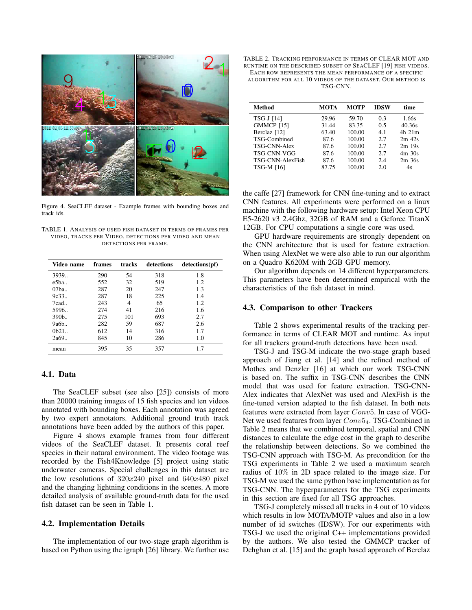

Figure 4. SeaCLEF dataset - Example frames with bounding boxes and track ids.

| TABLE 1. ANALYSIS OF USED FISH DATASET IN TERMS OF FRAMES PER |
|---------------------------------------------------------------|
| VIDEO, TRACKS PER VIDEO, DETECTIONS PER VIDEO AND MEAN        |
| DETECTIONS PER FRAME.                                         |

| Video name | frames | tracks | detections | detections(pf) |
|------------|--------|--------|------------|----------------|
| 3939.      | 290    | 54     | 318        | 1.8            |
| e5ba       | 552    | 32     | 519        | 1.2            |
| $07ba$     | 287    | 20     | 247        | 1.3            |
| 9c33       | 287    | 18     | 225        | 1.4            |
| $7c$ ad    | 243    | 4      | 65         | 1.2.           |
| 5996       | 274    | 41     | 216        | 1.6            |
| 390b       | 275    | 101    | 693        | 2.7            |
| 9a6b       | 282    | 59     | 687        | 2.6            |
| $0b21$ .   | 612    | 14     | 316        | 1.7            |
| 2a69.      | 845    | 10     | 286        | 1.0            |
| mean       | 395    | 35     | 357        | 1.7            |

### 4.1. Data

The SeaCLEF subset (see also [25]) consists of more than 20000 training images of 15 fish species and ten videos annotated with bounding boxes. Each annotation was agreed by two expert annotators. Additional ground truth track annotations have been added by the authors of this paper.

Figure 4 shows example frames from four different videos of the SeaCLEF dataset. It presents coral reef species in their natural environment. The video footage was recorded by the Fish4Knowledge [5] project using static underwater cameras. Special challenges in this dataset are the low resolutions of  $320x240$  pixel and  $640x480$  pixel and the changing lightning conditions in the scenes. A more detailed analysis of available ground-truth data for the used fish dataset can be seen in Table 1.

#### 4.2. Implementation Details

The implementation of our two-stage graph algorithm is based on Python using the igraph [26] library. We further use

TABLE 2. TRACKING PERFORMANCE IN TERMS OF CLEAR MOT AND RUNTIME ON THE DESCRIBED SUBSET OF SEACLEF [19] FISH VIDEOS. EACH ROW REPRESENTS THE MEAN PERFORMANCE OF A SPECIFIC ALGORITHM FOR ALL 10 VIDEOS OF THE DATASET. OUR METHOD IS TSG-CNN.

| Method              | МОТА  | <b>MOTP</b> | <b>IDSW</b> | time       |
|---------------------|-------|-------------|-------------|------------|
| TSG-J [14]          | 29.96 | 59.70       | 0.3         | 1.66s      |
| <b>GMMCP</b> [15]   | 31.44 | 83.35       | 0.5         | 40.36s     |
| Berclaz [12]        | 63.40 | 100.00      | 4.1         | $4h$ $21m$ |
| TSG-Combined        | 87.6  | 100.00      | 2.7         | $2m$ 42s   |
| <b>TSG-CNN-Alex</b> | 87.6  | 100.00      | 2.7         | $2m$ 19s   |
| TSG-CNN-VGG         | 87.6  | 100.00      | 2.7         | $4m$ 30s   |
| TSG-CNN-AlexFish    | 87.6  | 100.00      | 2.4         | $2m$ 36s   |
| <b>TSG-M [16]</b>   | 87.75 | 100.00      | 2.0         | 4s         |

the caffe [27] framework for CNN fine-tuning and to extract CNN features. All experiments were performed on a linux machine with the following hardware setup: Intel Xeon CPU E5-2620 v3 2.4Ghz, 32GB of RAM and a Geforce TitanX 12GB. For CPU computations a single core was used.

GPU hardware requirements are strongly dependent on the CNN architecture that is used for feature extraction. When using AlexNet we were also able to run our algorithm on a Quadro K620M with 2GB GPU memory.

Our algorithm depends on 14 different hyperparameters. This parameters have been determined empirical with the characteristics of the fish dataset in mind.

#### 4.3. Comparison to other Trackers

Table 2 shows experimental results of the tracking performance in terms of CLEAR MOT and runtime. As input for all trackers ground-truth detections have been used.

TSG-J and TSG-M indicate the two-stage graph based approach of Jiang et al. [14] and the refined method of Mothes and Denzler [16] at which our work TSG-CNN is based on. The suffix in TSG-CNN describes the CNN model that was used for feature extraction. TSG-CNN-Alex indicates that AlexNet was used and AlexFish is the fine-tuned version adapted to the fish dataset. In both nets features were extracted from layer Conv5. In case of VGG-Net we used features from layer Conv54. TSG-Combined in Table 2 means that we combined temporal, spatial and CNN distances to calculate the edge cost in the graph to describe the relationship between detections. So we combined the TSG-CNN approach with TSG-M. As precondition for the TSG experiments in Table 2 we used a maximum search radius of 10% in 2D space related to the image size. For TSG-M we used the same python base implementation as for TSG-CNN. The hyperparameters for the TSG experiments in this section are fixed for all TSG approaches.

TSG-J completely missed all tracks in 4 out of 10 videos which results in low MOTA/MOTP values and also in a low number of id switches (IDSW). For our experiments with TSG-J we used the original C++ implementations provided by the authors. We also tested the GMMCP tracker of Dehghan et al. [15] and the graph based approach of Berclaz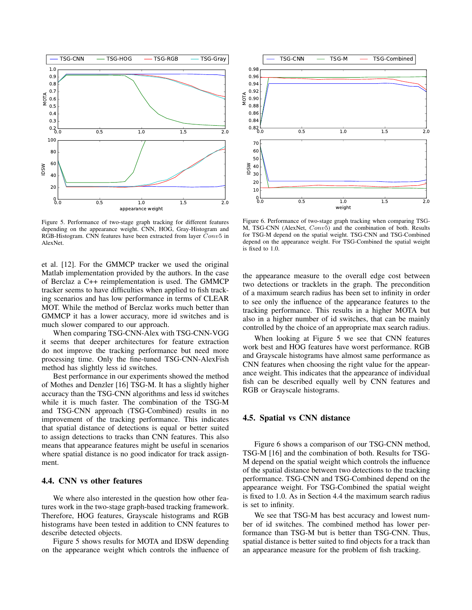

Figure 5. Performance of two-stage graph tracking for different features depending on the appearance weight. CNN, HOG, Gray-Histogram and RGB-Histogram. CNN features have been extracted from layer Conv5 in AlexNet.

et al. [12]. For the GMMCP tracker we used the original Matlab implementation provided by the authors. In the case of Berclaz a C++ reimplementation is used. The GMMCP tracker seems to have difficulties when applied to fish tracking scenarios and has low performance in terms of CLEAR MOT. While the method of Berclaz works much better than GMMCP it has a lower accuracy, more id switches and is much slower compared to our approach.

When comparing TSG-CNN-Alex with TSG-CNN-VGG it seems that deeper architectures for feature extraction do not improve the tracking performance but need more processing time. Only the fine-tuned TSG-CNN-AlexFish method has slightly less id switches.

Best performance in our experiments showed the method of Mothes and Denzler [16] TSG-M. It has a slightly higher accuracy than the TSG-CNN algorithms and less id switches while it is much faster. The combination of the TSG-M and TSG-CNN approach (TSG-Combined) results in no improvement of the tracking performance. This indicates that spatial distance of detections is equal or better suited to assign detections to tracks than CNN features. This also means that appearance features might be useful in scenarios where spatial distance is no good indicator for track assignment.

### 4.4. CNN vs other features

We where also interested in the question how other features work in the two-stage graph-based tracking framework. Therefore, HOG features, Grayscale histograms and RGB histograms have been tested in addition to CNN features to describe detected objects.

Figure 5 shows results for MOTA and IDSW depending on the appearance weight which controls the influence of



Figure 6. Performance of two-stage graph tracking when comparing TSG-M, TSG-CNN (AlexNet, Conv5) and the combination of both. Results for TSG-M depend on the spatial weight. TSG-CNN and TSG-Combined depend on the appearance weight. For TSG-Combined the spatial weight is fixed to  $1.0$ .

the appearance measure to the overall edge cost between two detections or tracklets in the graph. The precondition of a maximum search radius has been set to infinity in order to see only the influence of the appearance features to the tracking performance. This results in a higher MOTA but also in a higher number of id switches, that can be mainly controlled by the choice of an appropriate max search radius.

When looking at Figure 5 we see that CNN features work best and HOG features have worst performance. RGB and Grayscale histograms have almost same performance as CNN features when choosing the right value for the appearance weight. This indicates that the appearance of individual fish can be described equally well by CNN features and RGB or Grayscale histograms.

#### 4.5. Spatial vs CNN distance

Figure 6 shows a comparison of our TSG-CNN method, TSG-M [16] and the combination of both. Results for TSG-M depend on the spatial weight which controls the influence of the spatial distance between two detections to the tracking performance. TSG-CNN and TSG-Combined depend on the appearance weight. For TSG-Combined the spatial weight is fixed to 1.0. As in Section 4.4 the maximum search radius is set to infinity.

We see that TSG-M has best accuracy and lowest number of id switches. The combined method has lower performance than TSG-M but is better than TSG-CNN. Thus, spatial distance is better suited to find objects for a track than an appearance measure for the problem of fish tracking.